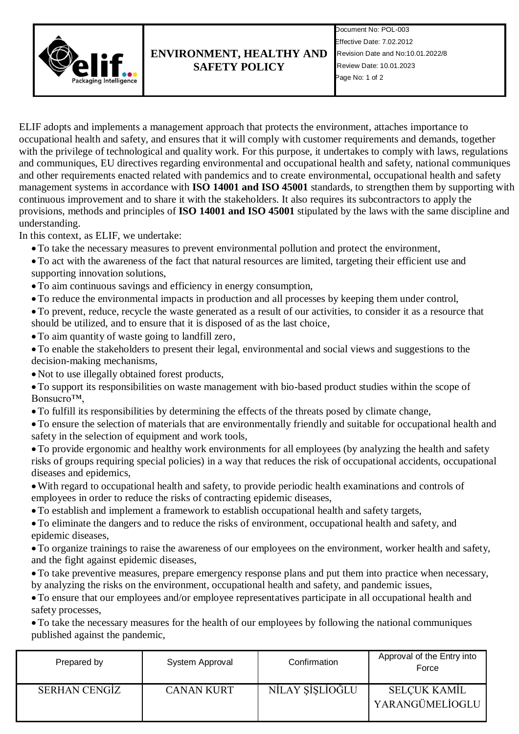

## **ENVIRONMENT, HEALTHY AND SAFETY POLICY**

Document No: POL-003 Effective Date: 7.02.2012 Revision Date and No:10.01.2022/8 Review Date: 10.01.2023 Page No: 1 of 2

ELIF adopts and implements a management approach that protects the environment, attaches importance to occupational health and safety, and ensures that it will comply with customer requirements and demands, together with the privilege of technological and quality work. For this purpose, it undertakes to comply with laws, regulations and communiques, EU directives regarding environmental and occupational health and safety, national communiques and other requirements enacted related with pandemics and to create environmental, occupational health and safety management systems in accordance with **ISO 14001 and ISO 45001** standards, to strengthen them by supporting with continuous improvement and to share it with the stakeholders. It also requires its subcontractors to apply the provisions, methods and principles of **ISO 14001 and ISO 45001** stipulated by the laws with the same discipline and understanding.

In this context, as ELIF, we undertake:

- To take the necessary measures to prevent environmental pollution and protect the environment,
- To act with the awareness of the fact that natural resources are limited, targeting their efficient use and supporting innovation solutions,
- To aim continuous savings and efficiency in energy consumption,
- To reduce the environmental impacts in production and all processes by keeping them under control,
- To prevent, reduce, recycle the waste generated as a result of our activities, to consider it as a resource that should be utilized, and to ensure that it is disposed of as the last choice,
- To aim quantity of waste going to landfill zero,
- To enable the stakeholders to present their legal, environmental and social views and suggestions to the decision-making mechanisms,
- Not to use illegally obtained forest products,
- To support its responsibilities on waste management with bio-based product studies within the scope of Bonsucro™,
- To fulfill its responsibilities by determining the effects of the threats posed by climate change,
- To ensure the selection of materials that are environmentally friendly and suitable for occupational health and safety in the selection of equipment and work tools,
- To provide ergonomic and healthy work environments for all employees (by analyzing the health and safety risks of groups requiring special policies) in a way that reduces the risk of occupational accidents, occupational diseases and epidemics,
- With regard to occupational health and safety, to provide periodic health examinations and controls of employees in order to reduce the risks of contracting epidemic diseases,
- To establish and implement a framework to establish occupational health and safety targets,
- To eliminate the dangers and to reduce the risks of environment, occupational health and safety, and epidemic diseases,
- To organize trainings to raise the awareness of our employees on the environment, worker health and safety, and the fight against epidemic diseases,
- To take preventive measures, prepare emergency response plans and put them into practice when necessary, by analyzing the risks on the environment, occupational health and safety, and pandemic issues,
- To ensure that our employees and/or employee representatives participate in all occupational health and safety processes,
- To take the necessary measures for the health of our employees by following the national communiques published against the pandemic,

| Prepared by   | System Approval   | Confirmation    | Approval of the Entry into<br>Force |
|---------------|-------------------|-----------------|-------------------------------------|
| SERHAN CENGIZ | <b>CANAN KURT</b> | NİLAY ŞİŞLİOĞLU | SELÇUK KAMİL<br>YARANGÜMELİOGLU     |